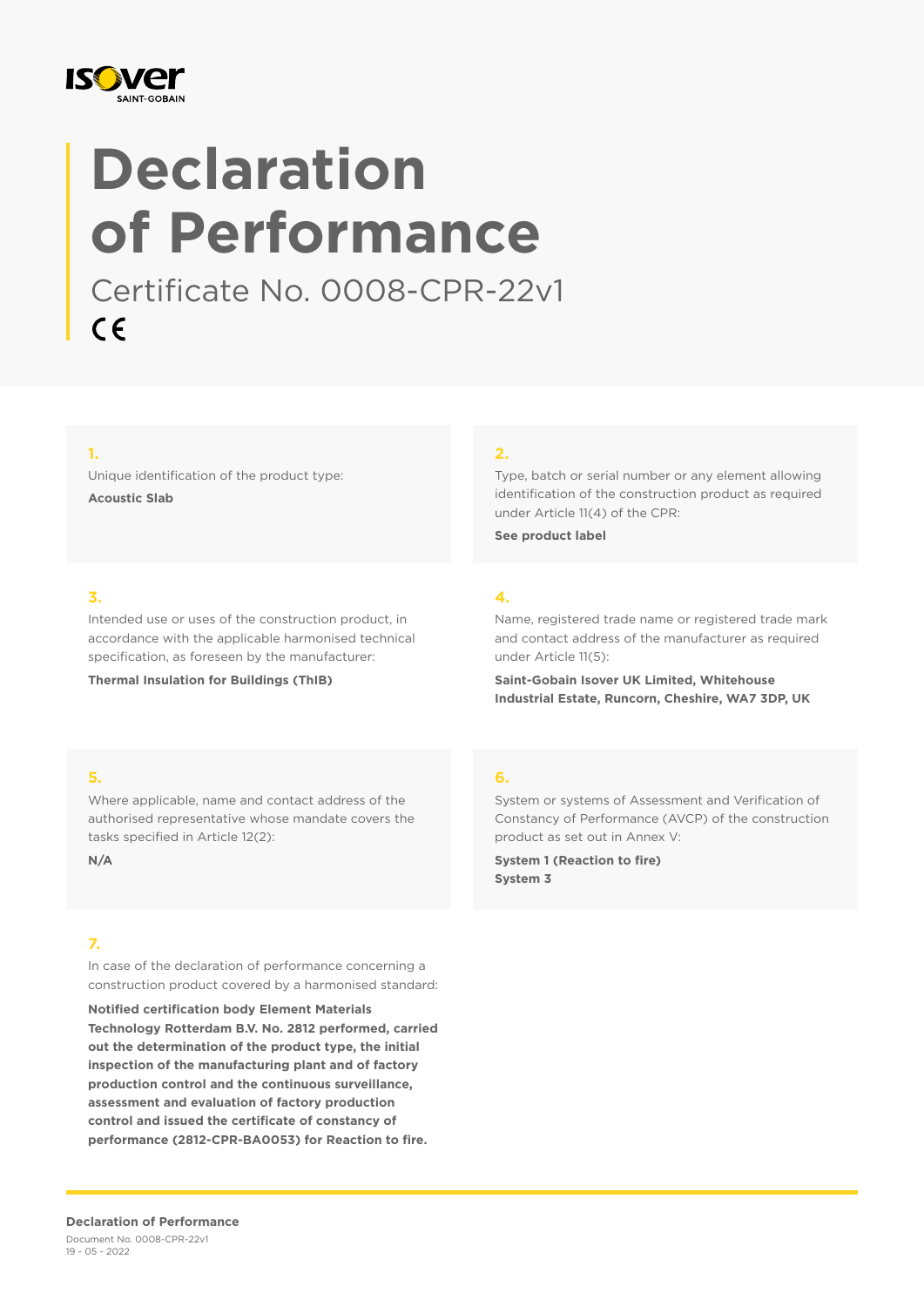

# **Declaration of Performance**

Certificate No. 0008-CPR-22v1  $C \in$ 

#### **1.**

Unique identification of the product type: **Acoustic Slab**

#### **2.**

Type, batch or serial number or any element allowing identification of the construction product as required under Article 11(4) of the CPR:

**See product label**

#### **3.**

Intended use or uses of the construction product, in accordance with the applicable harmonised technical specification, as foreseen by the manufacturer:

**Thermal Insulation for Buildings (ThIB)**

## **4.**

Name, registered trade name or registered trade mark and contact address of the manufacturer as required under Article 11(5):

**Saint-Gobain Isover UK Limited, Whitehouse Industrial Estate, Runcorn, Cheshire, WA7 3DP, UK**

#### **5.**

Where applicable, name and contact address of the authorised representative whose mandate covers the tasks specified in Article 12(2):

**N/A**

#### **7.**

In case of the declaration of performance concerning a construction product covered by a harmonised standard:

**Notified certification body Element Materials Technology Rotterdam B.V. No. 2812 performed, carried out the determination of the product type, the initial inspection of the manufacturing plant and of factory production control and the continuous surveillance, assessment and evaluation of factory production control and issued the certificate of constancy of performance (2812-CPR-BA0053) for Reaction to fire.**

#### **6.**

System or systems of Assessment and Verification of Constancy of Performance (AVCP) of the construction product as set out in Annex V:

**System 1 (Reaction to fire) System 3**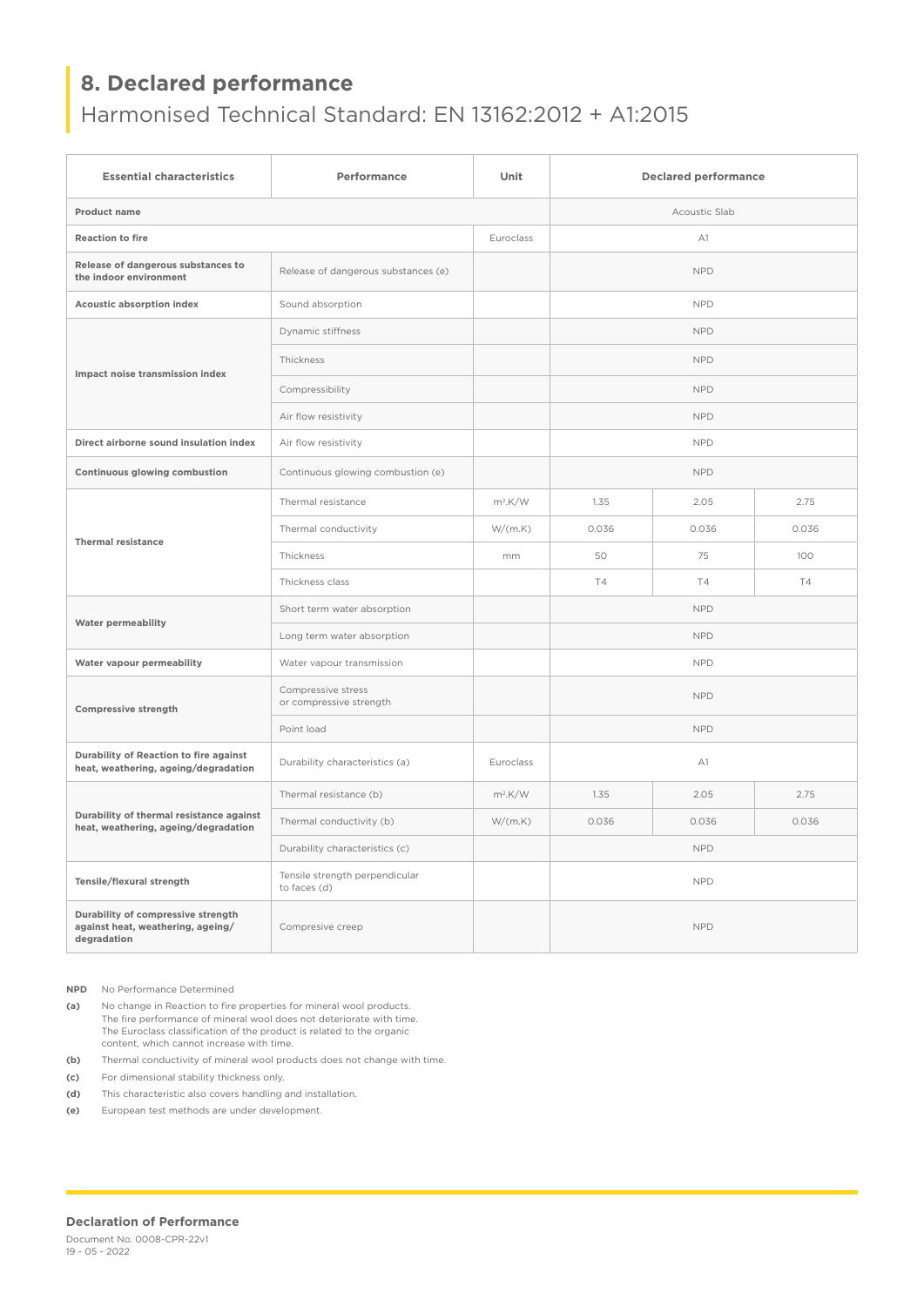## **8. Declared performance**

## Harmonised Technical Standard: EN 13162:2012 + A1:2015

| <b>Essential characteristics</b>                                                       | Performance                                    | Unit       | <b>Declared performance</b> |           |       |
|----------------------------------------------------------------------------------------|------------------------------------------------|------------|-----------------------------|-----------|-------|
| Product name                                                                           |                                                |            | Acoustic Slab               |           |       |
| <b>Reaction to fire</b>                                                                |                                                | Euroclass  | A1                          |           |       |
| Release of dangerous substances to<br>the indoor environment                           | Release of dangerous substances (e)            |            | <b>NPD</b>                  |           |       |
| Acoustic absorption index                                                              | Sound absorption                               |            | <b>NPD</b>                  |           |       |
| Impact noise transmission index                                                        | Dynamic stiffness                              |            | <b>NPD</b>                  |           |       |
|                                                                                        | Thickness                                      |            | <b>NPD</b>                  |           |       |
|                                                                                        | Compressibility                                |            | <b>NPD</b>                  |           |       |
|                                                                                        | Air flow resistivity                           |            | <b>NPD</b>                  |           |       |
| Direct airborne sound insulation index                                                 | Air flow resistivity                           |            | <b>NPD</b>                  |           |       |
| Continuous glowing combustion                                                          | Continuous glowing combustion (e)              |            | <b>NPD</b>                  |           |       |
| <b>Thermal resistance</b>                                                              | Thermal resistance                             | $m^2$ .K/W | 1.35                        | 2.05      | 2.75  |
|                                                                                        | Thermal conductivity                           | W/(m.K)    | 0.036                       | 0.036     | 0.036 |
|                                                                                        | Thickness                                      | mm         | 50                          | 75        | 100   |
|                                                                                        | Thickness class                                |            | <b>T4</b>                   | <b>T4</b> | T4    |
| <b>Water permeability</b>                                                              | Short term water absorption                    |            | <b>NPD</b>                  |           |       |
|                                                                                        | Long term water absorption                     |            | <b>NPD</b>                  |           |       |
| Water vapour permeability                                                              | Water vapour transmission                      |            | <b>NPD</b>                  |           |       |
| Compressive strength                                                                   | Compressive stress<br>or compressive strength  |            | <b>NPD</b>                  |           |       |
|                                                                                        | Point load                                     |            | <b>NPD</b>                  |           |       |
| Durability of Reaction to fire against<br>heat, weathering, ageing/degradation         | Durability characteristics (a)                 | Euroclass  | A1                          |           |       |
| Durability of thermal resistance against<br>heat, weathering, ageing/degradation       | Thermal resistance (b)                         | $m^2$ .K/W | 1.35                        | 2.05      | 2.75  |
|                                                                                        | Thermal conductivity (b)                       | W/(m.K)    | 0.036                       | 0.036     | 0.036 |
|                                                                                        | Durability characteristics (c)                 |            | <b>NPD</b>                  |           |       |
| Tensile/flexural strength                                                              | Tensile strength perpendicular<br>to faces (d) |            | <b>NPD</b>                  |           |       |
| Durability of compressive strength<br>against heat, weathering, ageing/<br>degradation | Compresive creep                               |            | <b>NPD</b>                  |           |       |

**NPD** No Performance Determined

**(a)** No change in Reaction to fire properties for mineral wool products. The fire performance of mineral wool does not deteriorate with time. The Euroclass classification of the product is related to the organic content, which cannot increase with time.

**(b)** Thermal conductivity of mineral wool products does not change with time.

**(c)** For dimensional stability thickness only.

**(d)** This characteristic also covers handling and installation.

**(e)** European test methods are under development.

#### **Declaration of Performance**

Document No. 0008-CPR-22v1 19 - 05 - 2022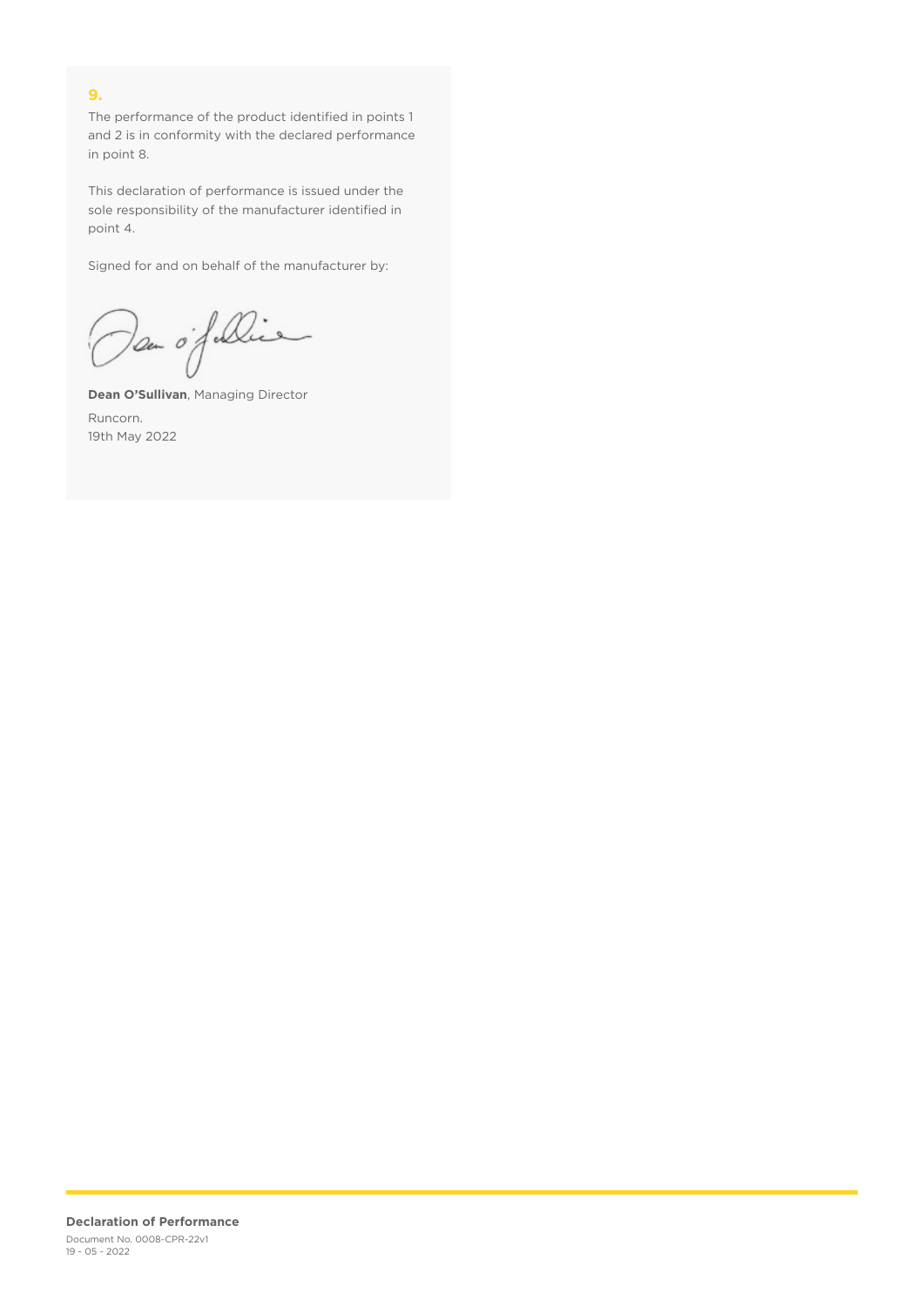### **9.**

The performance of the product identified in points 1 and 2 is in conformity with the declared performance in point 8.

This declaration of performance is issued under the sole responsibility of the manufacturer identified in point 4.

Signed for and on behalf of the manufacturer by:

Dan of Die

**Dean O'Sullivan**, Managing Director Runcorn. 19th May 2022